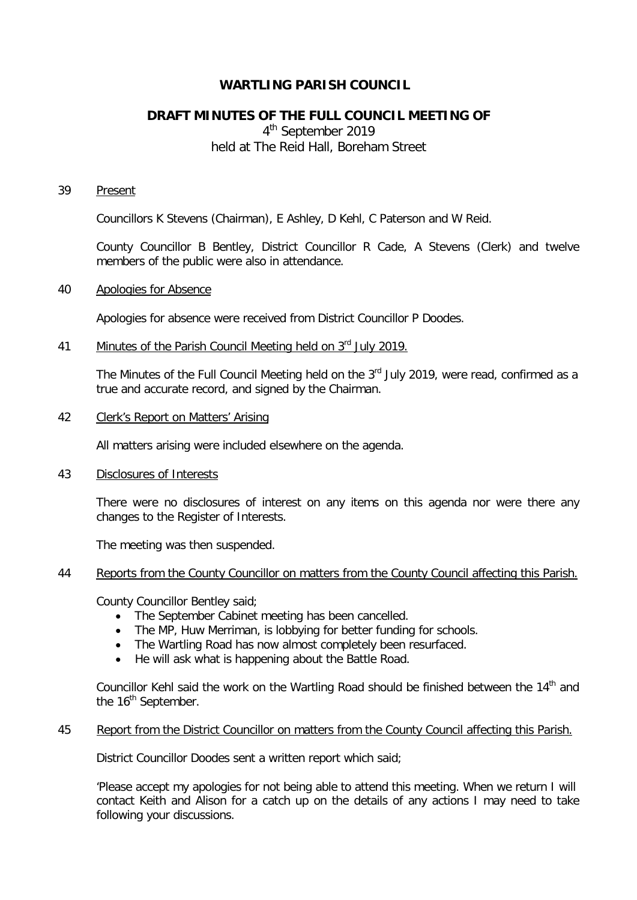# **WARTLING PARISH COUNCIL**

# **DRAFT MINUTES OF THE FULL COUNCIL MEETING OF**

4<sup>th</sup> September 2019 held at The Reid Hall, Boreham Street

#### 39 Present

Councillors K Stevens (Chairman), E Ashley, D Kehl, C Paterson and W Reid.

County Councillor B Bentley, District Councillor R Cade, A Stevens (Clerk) and twelve members of the public were also in attendance.

#### 40 Apologies for Absence

Apologies for absence were received from District Councillor P Doodes.

## 41 Minutes of the Parish Council Meeting held on 3<sup>rd</sup> July 2019.

The Minutes of the Full Council Meeting held on the 3<sup>rd</sup> July 2019, were read, confirmed as a true and accurate record, and signed by the Chairman.

## 42 Clerk's Report on Matters' Arising

All matters arising were included elsewhere on the agenda.

### 43 Disclosures of Interests

There were no disclosures of interest on any items on this agenda nor were there any changes to the Register of Interests.

The meeting was then suspended.

#### 44 Reports from the County Councillor on matters from the County Council affecting this Parish.

County Councillor Bentley said;

- The September Cabinet meeting has been cancelled.
- The MP, Huw Merriman, is lobbying for better funding for schools.
- The Wartling Road has now almost completely been resurfaced.
- He will ask what is happening about the Battle Road.

Councillor Kehl said the work on the Wartling Road should be finished between the 14<sup>th</sup> and the 16<sup>th</sup> September.

#### 45 Report from the District Councillor on matters from the County Council affecting this Parish.

District Councillor Doodes sent a written report which said;

'Please accept my apologies for not being able to attend this meeting. When we return I will contact Keith and Alison for a catch up on the details of any actions I may need to take following your discussions.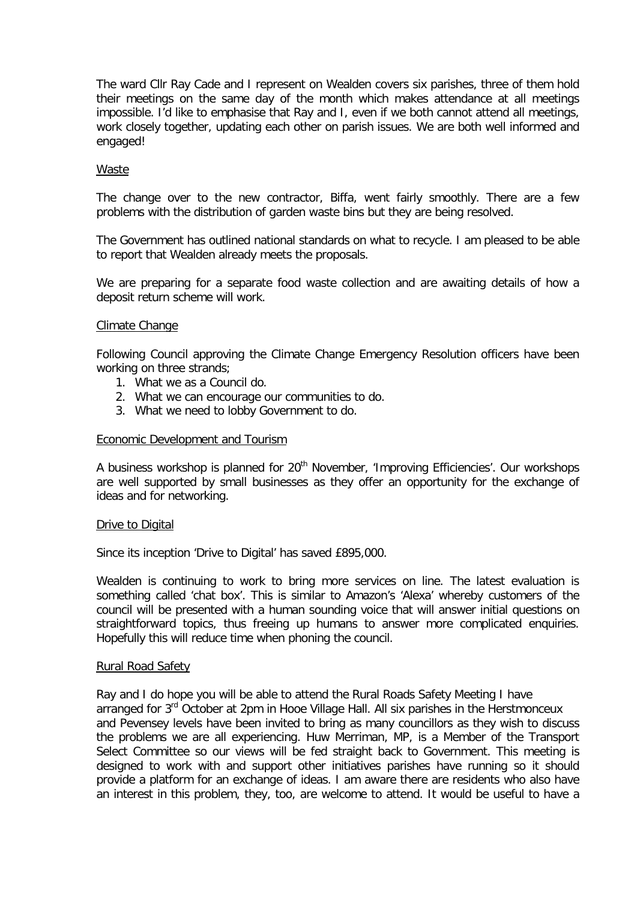The ward Cllr Ray Cade and I represent on Wealden covers six parishes, three of them hold their meetings on the same day of the month which makes attendance at all meetings impossible. I'd like to emphasise that Ray and I, even if we both cannot attend all meetings, work closely together, updating each other on parish issues. We are both well informed and engaged!

### Waste

The change over to the new contractor, Biffa, went fairly smoothly. There are a few problems with the distribution of garden waste bins but they are being resolved.

The Government has outlined national standards on what to recycle. I am pleased to be able to report that Wealden already meets the proposals.

We are preparing for a separate food waste collection and are awaiting details of how a deposit return scheme will work.

#### Climate Change

Following Council approving the Climate Change Emergency Resolution officers have been working on three strands;

- 1. What we as a Council do.
- 2. What we can encourage our communities to do.
- 3. What we need to lobby Government to do.

### Economic Development and Tourism

A business workshop is planned for 20<sup>th</sup> November, 'Improving Efficiencies'. Our workshops are well supported by small businesses as they offer an opportunity for the exchange of ideas and for networking.

#### Drive to Digital

Since its inception 'Drive to Digital' has saved £895,000.

Wealden is continuing to work to bring more services on line. The latest evaluation is something called 'chat box'. This is similar to Amazon's 'Alexa' whereby customers of the council will be presented with a human sounding voice that will answer initial questions on straightforward topics, thus freeing up humans to answer more complicated enquiries. Hopefully this will reduce time when phoning the council.

#### Rural Road Safety

Ray and I do hope you will be able to attend the Rural Roads Safety Meeting I have arranged for  $3<sup>rd</sup>$  October at 2pm in Hooe Village Hall. All six parishes in the Herstmonceux and Pevensey levels have been invited to bring as many councillors as they wish to discuss the problems we are all experiencing. Huw Merriman, MP, is a Member of the Transport Select Committee so our views will be fed straight back to Government. This meeting is designed to work with and support other initiatives parishes have running so it should provide a platform for an exchange of ideas. I am aware there are residents who also have an interest in this problem, they, too, are welcome to attend. It would be useful to have a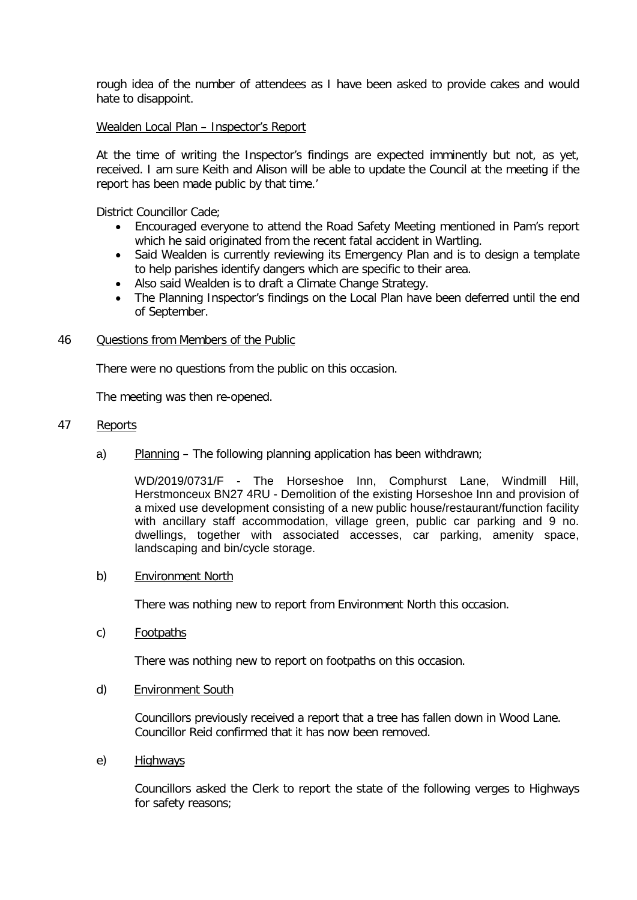rough idea of the number of attendees as I have been asked to provide cakes and would hate to disappoint.

#### Wealden Local Plan – Inspector's Report

At the time of writing the Inspector's findings are expected imminently but not, as yet, received. I am sure Keith and Alison will be able to update the Council at the meeting if the report has been made public by that time.'

District Councillor Cade;

- Encouraged everyone to attend the Road Safety Meeting mentioned in Pam's report which he said originated from the recent fatal accident in Wartling.
- Said Wealden is currently reviewing its Emergency Plan and is to design a template to help parishes identify dangers which are specific to their area.
- Also said Wealden is to draft a Climate Change Strategy.
- The Planning Inspector's findings on the Local Plan have been deferred until the end of September.

#### 46 Questions from Members of the Public

There were no questions from the public on this occasion.

The meeting was then re-opened.

#### 47 Reports

a) Planning – The following planning application has been withdrawn;

WD/2019/0731/F - The Horseshoe Inn, Comphurst Lane, Windmill Hill, Herstmonceux BN27 4RU - Demolition of the existing Horseshoe Inn and provision of a mixed use development consisting of a new public house/restaurant/function facility with ancillary staff accommodation, village green, public car parking and 9 no. dwellings, together with associated accesses, car parking, amenity space, landscaping and bin/cycle storage.

#### b) Environment North

There was nothing new to report from Environment North this occasion.

c) Footpaths

There was nothing new to report on footpaths on this occasion.

d) Environment South

Councillors previously received a report that a tree has fallen down in Wood Lane. Councillor Reid confirmed that it has now been removed.

e) Highways

Councillors asked the Clerk to report the state of the following verges to Highways for safety reasons;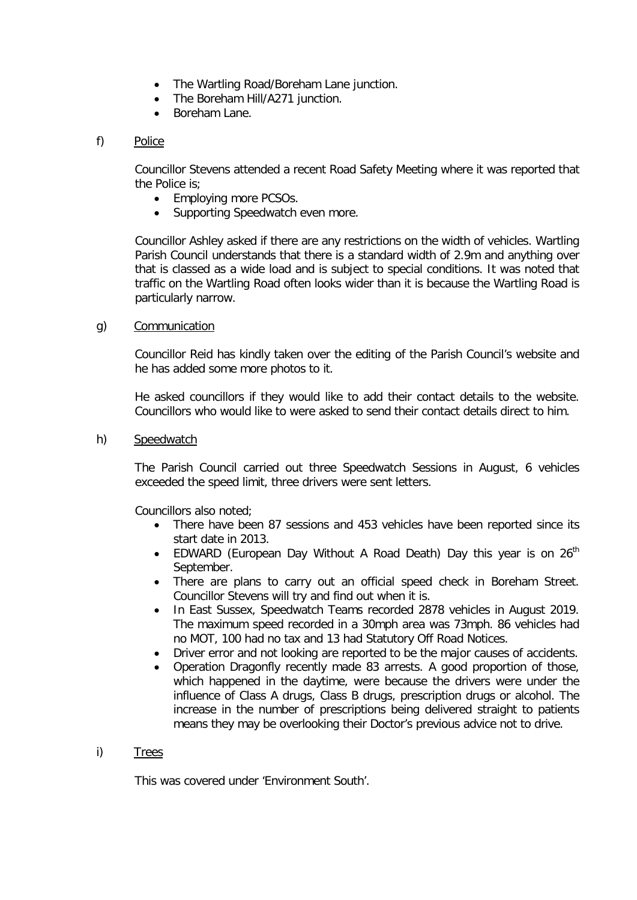- The Wartling Road/Boreham Lane junction.
- The Boreham Hill/A271 junction.
- Boreham Lane.

## f) Police

Councillor Stevens attended a recent Road Safety Meeting where it was reported that the Police is;

- Employing more PCSOs.
- Supporting Speedwatch even more.

Councillor Ashley asked if there are any restrictions on the width of vehicles. Wartling Parish Council understands that there is a standard width of 2.9m and anything over that is classed as a wide load and is subject to special conditions. It was noted that traffic on the Wartling Road often looks wider than it is because the Wartling Road is particularly narrow.

## g) Communication

Councillor Reid has kindly taken over the editing of the Parish Council's website and he has added some more photos to it.

He asked councillors if they would like to add their contact details to the website. Councillors who would like to were asked to send their contact details direct to him.

## h) Speedwatch

The Parish Council carried out three Speedwatch Sessions in August, 6 vehicles exceeded the speed limit, three drivers were sent letters.

Councillors also noted;

- There have been 87 sessions and 453 vehicles have been reported since its start date in 2013.
- EDWARD (European Day Without A Road Death) Day this year is on  $26<sup>th</sup>$ September.
- There are plans to carry out an official speed check in Boreham Street. Councillor Stevens will try and find out when it is.
- In East Sussex, Speedwatch Teams recorded 2878 vehicles in August 2019. The maximum speed recorded in a 30mph area was 73mph. 86 vehicles had no MOT, 100 had no tax and 13 had Statutory Off Road Notices.
- Driver error and not looking are reported to be the major causes of accidents.
- Operation Dragonfly recently made 83 arrests. A good proportion of those, which happened in the daytime, were because the drivers were under the influence of Class A drugs, Class B drugs, prescription drugs or alcohol. The increase in the number of prescriptions being delivered straight to patients means they may be overlooking their Doctor's previous advice not to drive.

## i) Trees

This was covered under 'Environment South'.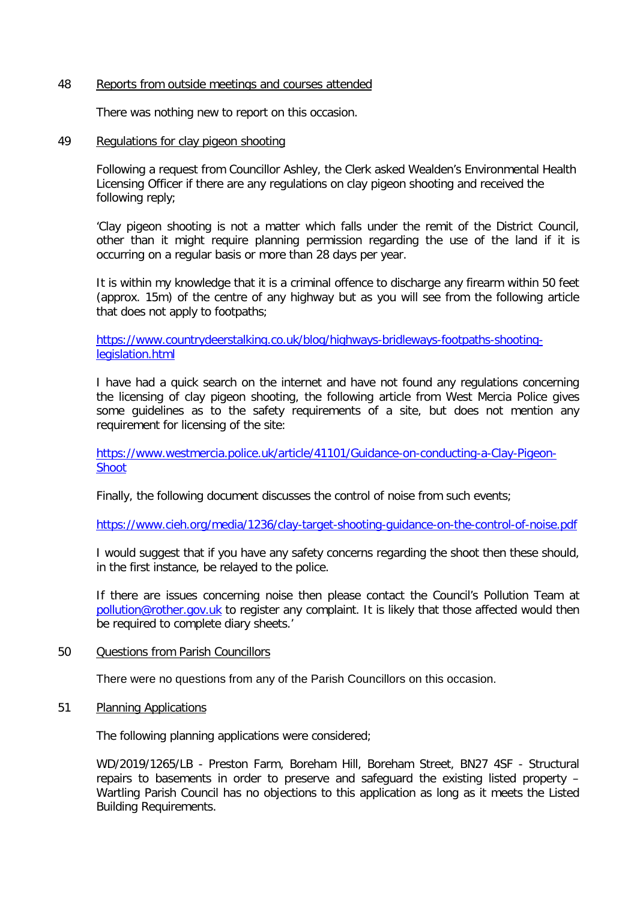#### 48 Reports from outside meetings and courses attended

There was nothing new to report on this occasion.

#### 49 Regulations for clay pigeon shooting

Following a request from Councillor Ashley, the Clerk asked Wealden's Environmental Health Licensing Officer if there are any regulations on clay pigeon shooting and received the following reply;

'Clay pigeon shooting is not a matter which falls under the remit of the District Council, other than it might require planning permission regarding the use of the land if it is occurring on a regular basis or more than 28 days per year.

It is within my knowledge that it is a criminal offence to discharge any firearm within 50 feet (approx. 15m) of the centre of any highway but as you will see from the following article that does not apply to footpaths;

[https://www.countrydeerstalking.co.uk/blog/highways-bridleways-footpaths-shooting](https://www.countrydeerstalking.co.uk/blog/highways-bridleways-footpaths-shooting-legislation.html)[legislation.html](https://www.countrydeerstalking.co.uk/blog/highways-bridleways-footpaths-shooting-legislation.html)

I have had a quick search on the internet and have not found any regulations concerning the licensing of clay pigeon shooting, the following article from West Mercia Police gives some guidelines as to the safety requirements of a site, but does not mention any requirement for licensing of the site:

[https://www.westmercia.police.uk/article/41101/Guidance-on-conducting-a-Clay-Pigeon-](https://www.westmercia.police.uk/article/41101/Guidance-on-conducting-a-Clay-Pigeon-Shoot)[Shoot](https://www.westmercia.police.uk/article/41101/Guidance-on-conducting-a-Clay-Pigeon-Shoot)

Finally, the following document discusses the control of noise from such events;

<https://www.cieh.org/media/1236/clay-target-shooting-guidance-on-the-control-of-noise.pdf>

I would suggest that if you have any safety concerns regarding the shoot then these should, in the first instance, be relayed to the police.

If there are issues concerning noise then please contact the Council's Pollution Team at [pollution@rother.gov.uk](mailto:pollution@rother.gov.uk) to register any complaint. It is likely that those affected would then be required to complete diary sheets.'

## 50 Questions from Parish Councillors

There were no questions from any of the Parish Councillors on this occasion.

### 51 Planning Applications

The following planning applications were considered;

WD/2019/1265/LB - Preston Farm, Boreham Hill, Boreham Street, BN27 4SF - Structural repairs to basements in order to preserve and safeguard the existing listed property – Wartling Parish Council has no objections to this application as long as it meets the Listed Building Requirements.